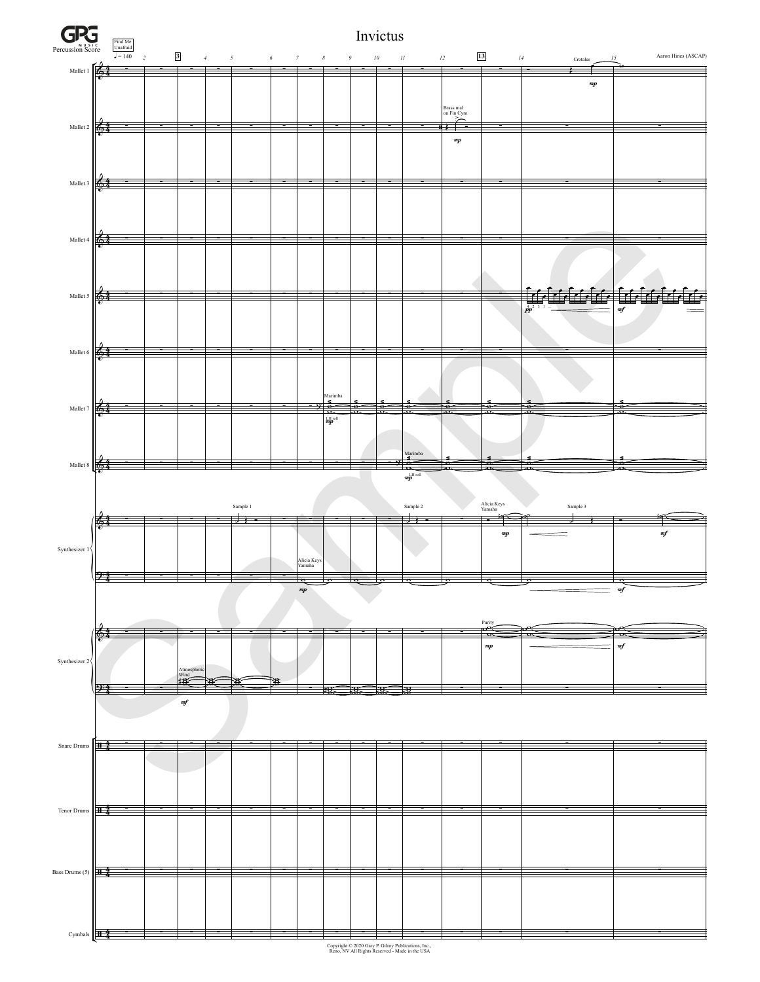

Copyright © 2020 Gary P. Gilroy Publications, Inc.,<br>Reno, NV All Rights Reserved - Made in the USA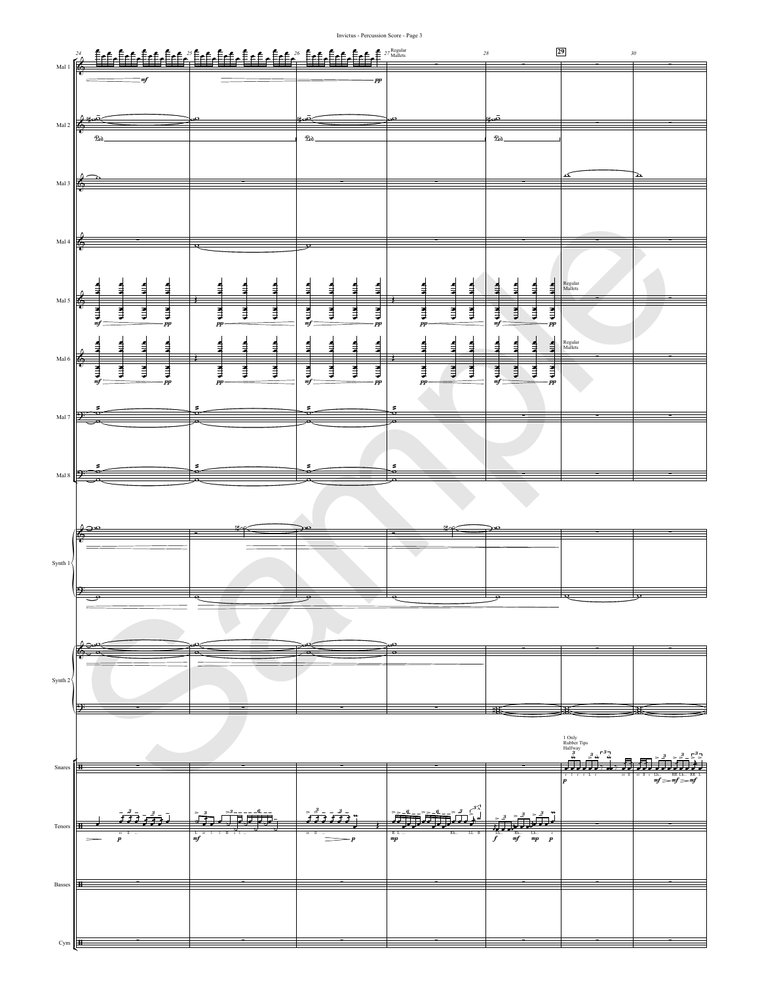## Invictus - Percussion Score - Page 3



¢

 $\mathbf{r}$  /  $\mathbf{r}$  /  $\mathbf{r}$ 

 $Cym$ 

∑ ∑ ∑ ∑ ∑ ∑ ∑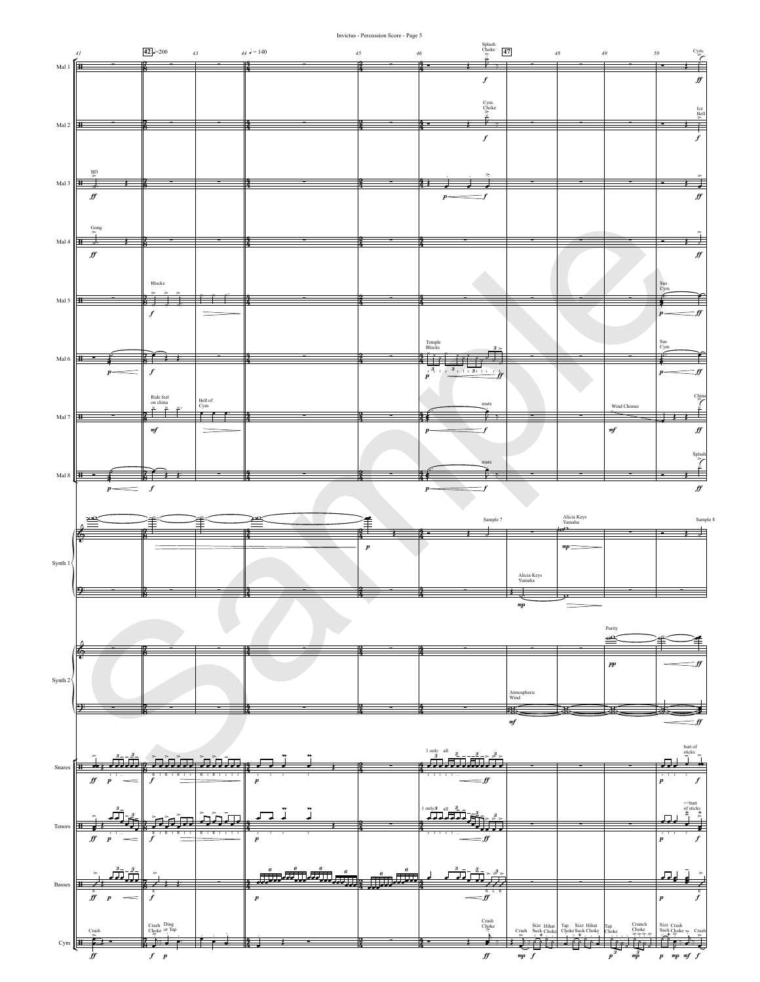

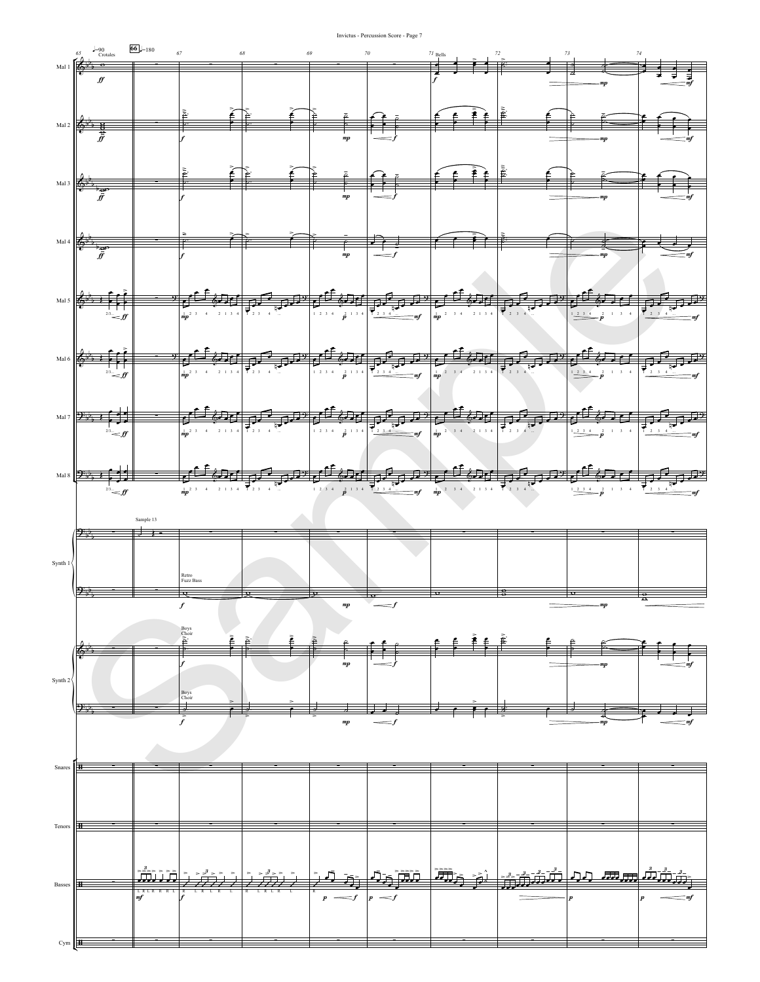# Invictus - Percussion Score - Page

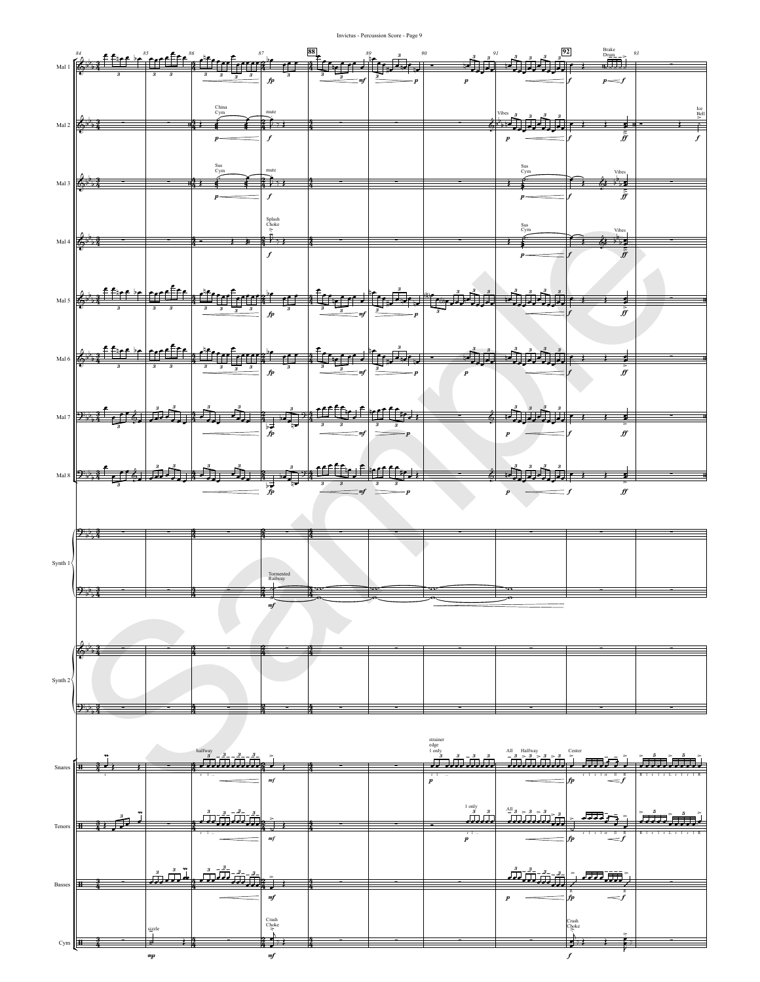### - Percussion Score - Pa

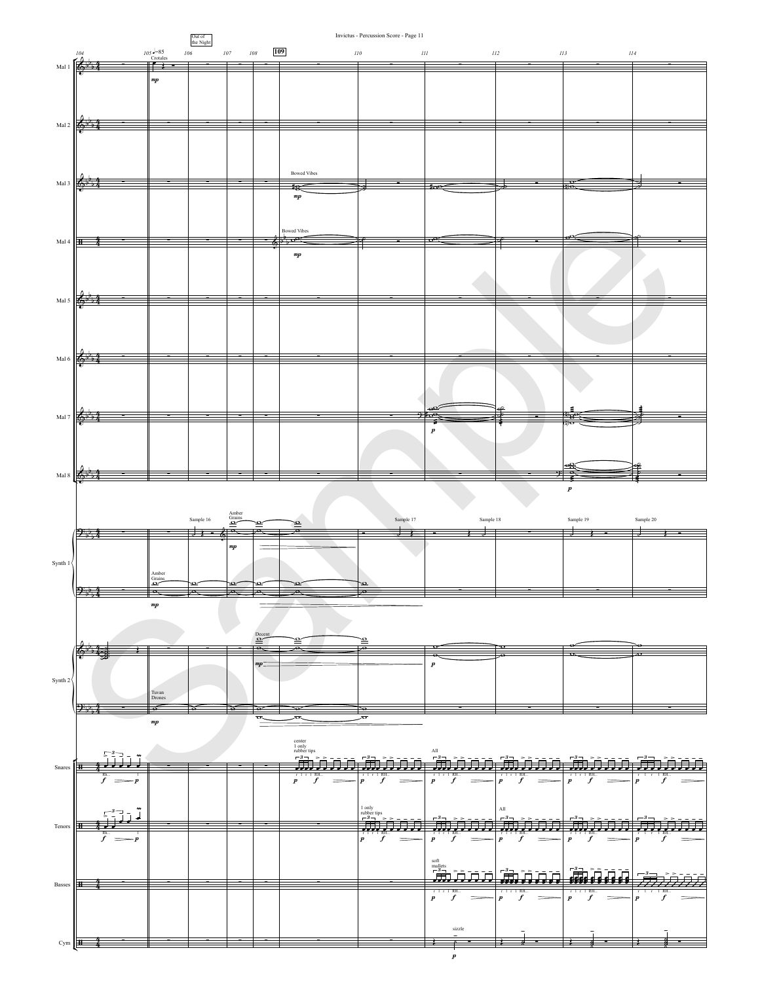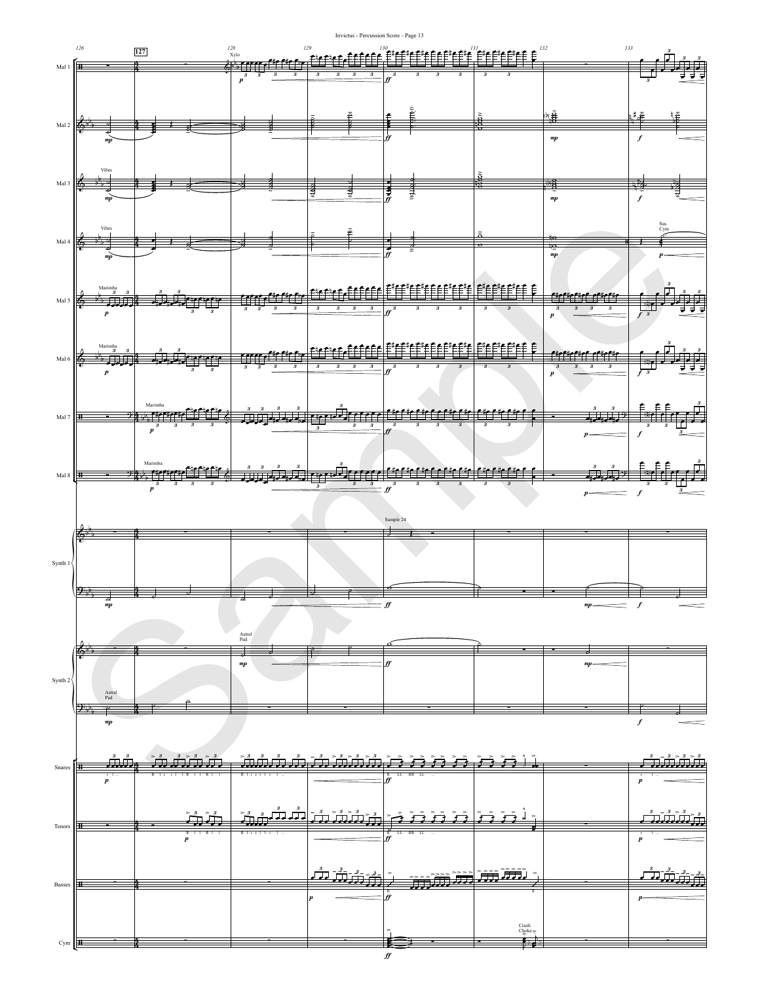

 $f$ ff and  $f$  and  $f$  and  $f$  and  $f$  and  $f$  and  $f$  and  $f$  and  $f$  and  $f$  and  $f$  and  $f$  and  $f$  and  $f$  and  $f$  and  $f$  and  $f$  and  $f$  and  $f$  and  $f$  and  $f$  and  $f$  and  $f$  and  $f$  and  $f$  and  $f$  and  $f$  and  $f$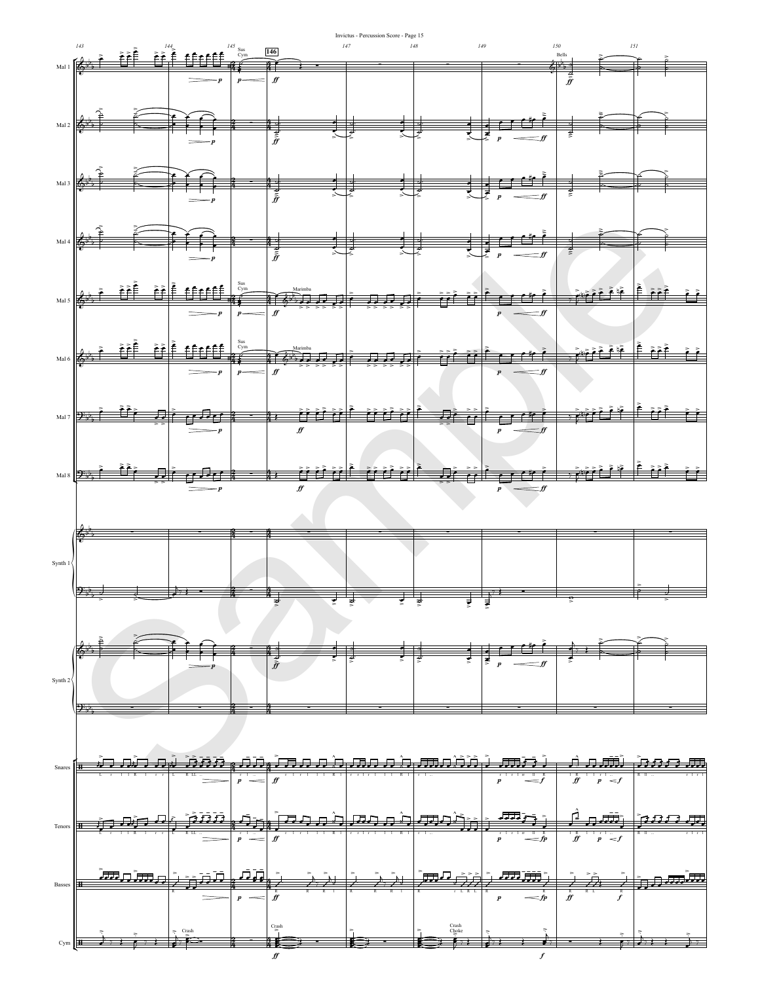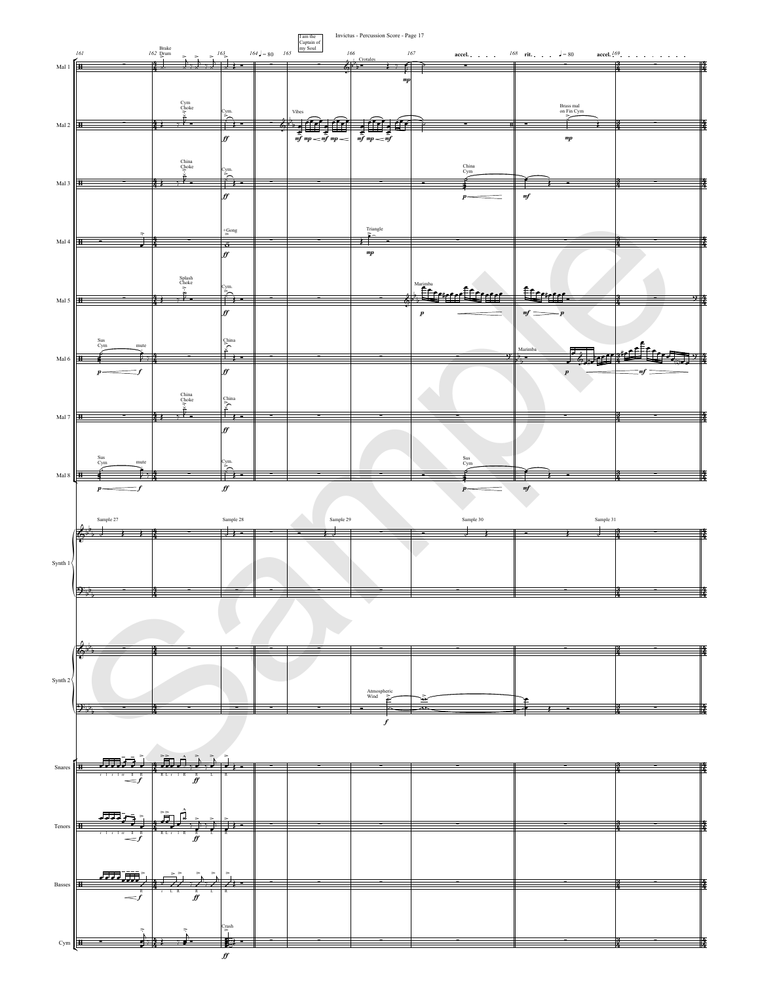